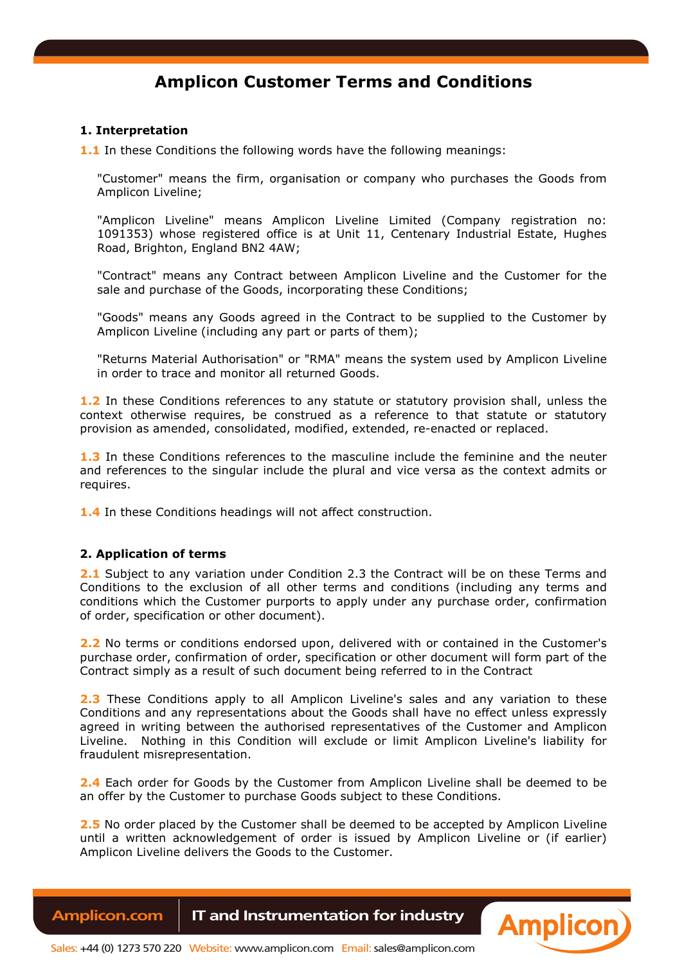# **Amplicon Customer Terms and Conditions**

# **1. Interpretation**

**1.1** In these Conditions the following words have the following meanings:

"Customer" means the firm, organisation or company who purchases the Goods from Amplicon Liveline;

"Amplicon Liveline" means Amplicon Liveline Limited (Company registration no: 1091353) whose registered office is at Unit 11, Centenary Industrial Estate, Hughes Road, Brighton, England BN2 4AW;

"Contract" means any Contract between Amplicon Liveline and the Customer for the sale and purchase of the Goods, incorporating these Conditions;

"Goods" means any Goods agreed in the Contract to be supplied to the Customer by Amplicon Liveline (including any part or parts of them);

"Returns Material Authorisation" or "RMA" means the system used by Amplicon Liveline in order to trace and monitor all returned Goods.

**1.2** In these Conditions references to any statute or statutory provision shall, unless the context otherwise requires, be construed as a reference to that statute or statutory provision as amended, consolidated, modified, extended, re-enacted or replaced.

**1.3** In these Conditions references to the masculine include the feminine and the neuter and references to the singular include the plural and vice versa as the context admits or requires.

**1.4** In these Conditions headings will not affect construction.

#### **2. Application of terms**

**2.1** Subject to any variation under Condition 2.3 the Contract will be on these Terms and Conditions to the exclusion of all other terms and conditions (including any terms and conditions which the Customer purports to apply under any purchase order, confirmation of order, specification or other document).

**2.2** No terms or conditions endorsed upon, delivered with or contained in the Customer's purchase order, confirmation of order, specification or other document will form part of the Contract simply as a result of such document being referred to in the Contract

**2.3** These Conditions apply to all Amplicon Liveline's sales and any variation to these Conditions and any representations about the Goods shall have no effect unless expressly agreed in writing between the authorised representatives of the Customer and Amplicon Liveline. Nothing in this Condition will exclude or limit Amplicon Liveline's liability for fraudulent misrepresentation.

2.4 Each order for Goods by the Customer from Amplicon Liveline shall be deemed to be an offer by the Customer to purchase Goods subject to these Conditions.

**2.5** No order placed by the Customer shall be deemed to be accepted by Amplicon Liveline until a written acknowledgement of order is issued by Amplicon Liveline or (if earlier) Amplicon Liveline delivers the Goods to the Customer.

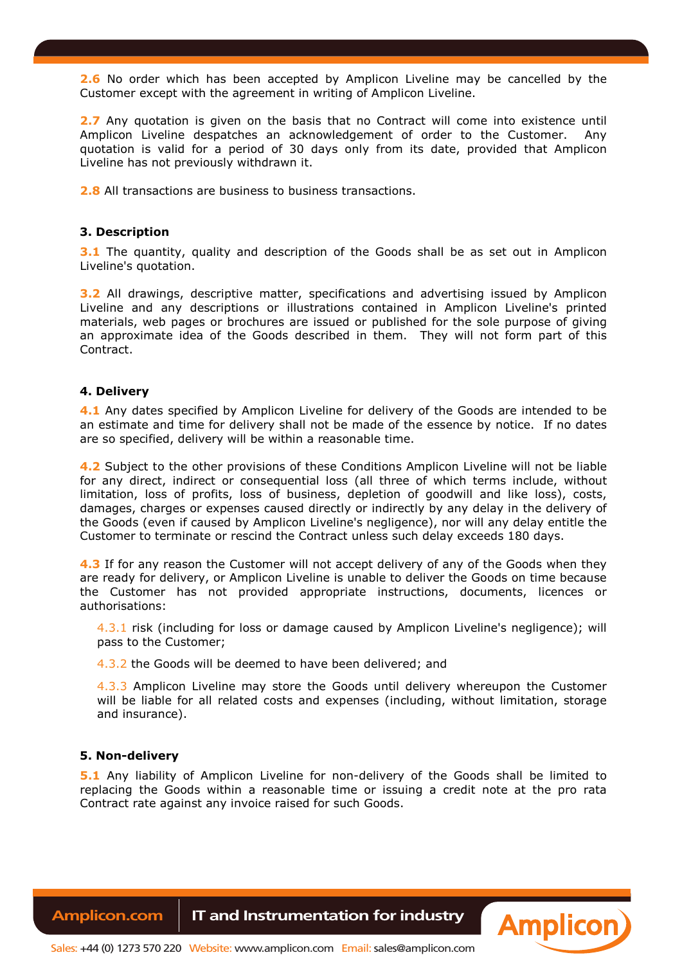**2.6** No order which has been accepted by Amplicon Liveline may be cancelled by the Customer except with the agreement in writing of Amplicon Liveline.

**2.7** Any quotation is given on the basis that no Contract will come into existence until Amplicon Liveline despatches an acknowledgement of order to the Customer. Any quotation is valid for a period of 30 days only from its date, provided that Amplicon Liveline has not previously withdrawn it.

**2.8** All transactions are business to business transactions.

# **3. Description**

**3.1** The quantity, quality and description of the Goods shall be as set out in Amplicon Liveline's quotation.

**3.2** All drawings, descriptive matter, specifications and advertising issued by Amplicon Liveline and any descriptions or illustrations contained in Amplicon Liveline's printed materials, web pages or brochures are issued or published for the sole purpose of giving an approximate idea of the Goods described in them. They will not form part of this Contract.

#### **4. Delivery**

**4.1** Any dates specified by Amplicon Liveline for delivery of the Goods are intended to be an estimate and time for delivery shall not be made of the essence by notice. If no dates are so specified, delivery will be within a reasonable time.

**4.2** Subject to the other provisions of these Conditions Amplicon Liveline will not be liable for any direct, indirect or consequential loss (all three of which terms include, without limitation, loss of profits, loss of business, depletion of goodwill and like loss), costs, damages, charges or expenses caused directly or indirectly by any delay in the delivery of the Goods (even if caused by Amplicon Liveline's negligence), nor will any delay entitle the Customer to terminate or rescind the Contract unless such delay exceeds 180 days.

**4.3** If for any reason the Customer will not accept delivery of any of the Goods when they are ready for delivery, or Amplicon Liveline is unable to deliver the Goods on time because the Customer has not provided appropriate instructions, documents, licences or authorisations:

4.3.1 risk (including for loss or damage caused by Amplicon Liveline's negligence); will pass to the Customer;

4.3.2 the Goods will be deemed to have been delivered; and

4.3.3 Amplicon Liveline may store the Goods until delivery whereupon the Customer will be liable for all related costs and expenses (including, without limitation, storage and insurance).

#### **5. Non-delivery**

**5.1** Any liability of Amplicon Liveline for non-delivery of the Goods shall be limited to replacing the Goods within a reasonable time or issuing a credit note at the pro rata Contract rate against any invoice raised for such Goods.

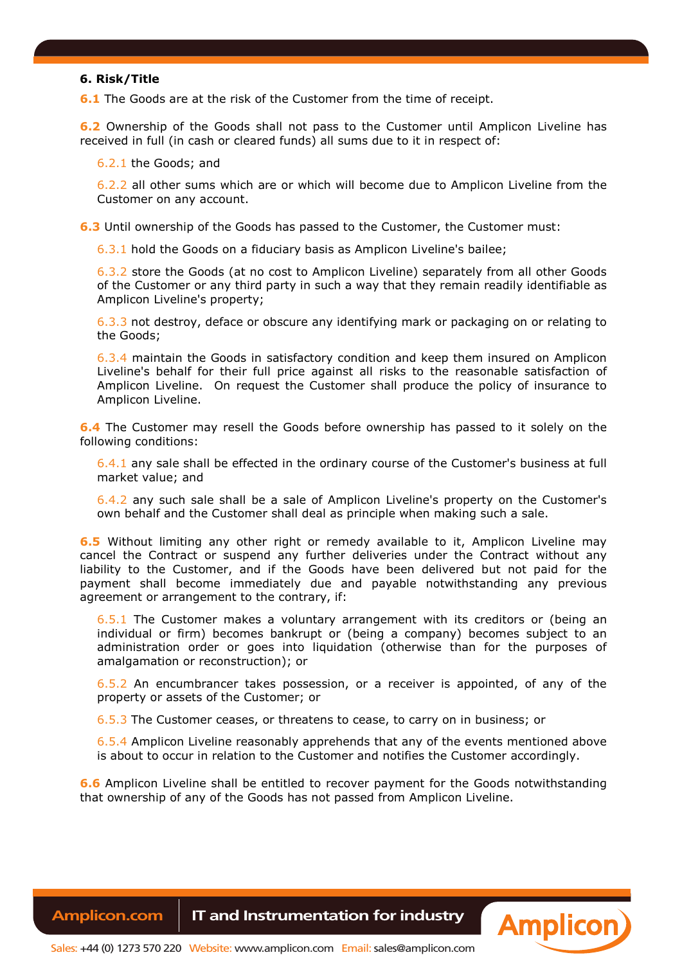#### **6. Risk/Title**

**6.1** The Goods are at the risk of the Customer from the time of receipt.

**6.2** Ownership of the Goods shall not pass to the Customer until Amplicon Liveline has received in full (in cash or cleared funds) all sums due to it in respect of:

6.2.1 the Goods; and

6.2.2 all other sums which are or which will become due to Amplicon Liveline from the Customer on any account.

**6.3** Until ownership of the Goods has passed to the Customer, the Customer must:

6.3.1 hold the Goods on a fiduciary basis as Amplicon Liveline's bailee;

6.3.2 store the Goods (at no cost to Amplicon Liveline) separately from all other Goods of the Customer or any third party in such a way that they remain readily identifiable as Amplicon Liveline's property;

6.3.3 not destroy, deface or obscure any identifying mark or packaging on or relating to the Goods;

6.3.4 maintain the Goods in satisfactory condition and keep them insured on Amplicon Liveline's behalf for their full price against all risks to the reasonable satisfaction of Amplicon Liveline. On request the Customer shall produce the policy of insurance to Amplicon Liveline.

**6.4** The Customer may resell the Goods before ownership has passed to it solely on the following conditions:

6.4.1 any sale shall be effected in the ordinary course of the Customer's business at full market value; and

6.4.2 any such sale shall be a sale of Amplicon Liveline's property on the Customer's own behalf and the Customer shall deal as principle when making such a sale.

**6.5** Without limiting any other right or remedy available to it, Amplicon Liveline may cancel the Contract or suspend any further deliveries under the Contract without any liability to the Customer, and if the Goods have been delivered but not paid for the payment shall become immediately due and payable notwithstanding any previous agreement or arrangement to the contrary, if:

6.5.1 The Customer makes a voluntary arrangement with its creditors or (being an individual or firm) becomes bankrupt or (being a company) becomes subject to an administration order or goes into liquidation (otherwise than for the purposes of amalgamation or reconstruction); or

6.5.2 An encumbrancer takes possession, or a receiver is appointed, of any of the property or assets of the Customer; or

6.5.3 The Customer ceases, or threatens to cease, to carry on in business; or

6.5.4 Amplicon Liveline reasonably apprehends that any of the events mentioned above is about to occur in relation to the Customer and notifies the Customer accordingly.

**6.6** Amplicon Liveline shall be entitled to recover payment for the Goods notwithstanding that ownership of any of the Goods has not passed from Amplicon Liveline.

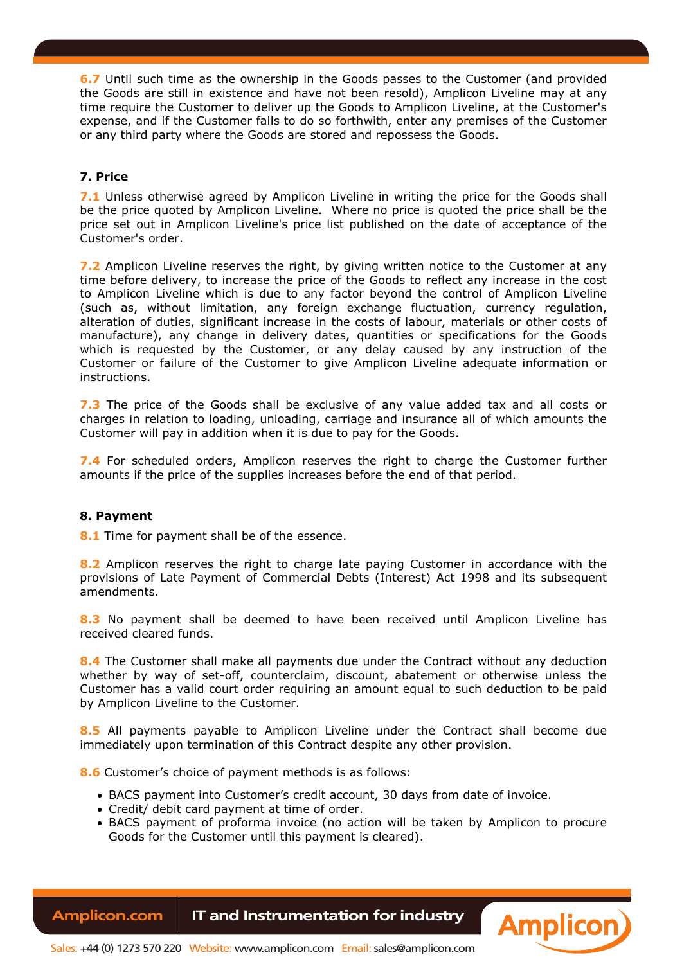**6.7** Until such time as the ownership in the Goods passes to the Customer (and provided the Goods are still in existence and have not been resold), Amplicon Liveline may at any time require the Customer to deliver up the Goods to Amplicon Liveline, at the Customer's expense, and if the Customer fails to do so forthwith, enter any premises of the Customer or any third party where the Goods are stored and repossess the Goods.

# **7. Price**

**7.1** Unless otherwise agreed by Amplicon Liveline in writing the price for the Goods shall be the price quoted by Amplicon Liveline. Where no price is quoted the price shall be the price set out in Amplicon Liveline's price list published on the date of acceptance of the Customer's order.

**7.2** Amplicon Liveline reserves the right, by giving written notice to the Customer at any time before delivery, to increase the price of the Goods to reflect any increase in the cost to Amplicon Liveline which is due to any factor beyond the control of Amplicon Liveline (such as, without limitation, any foreign exchange fluctuation, currency regulation, alteration of duties, significant increase in the costs of labour, materials or other costs of manufacture), any change in delivery dates, quantities or specifications for the Goods which is requested by the Customer, or any delay caused by any instruction of the Customer or failure of the Customer to give Amplicon Liveline adequate information or instructions.

**7.3** The price of the Goods shall be exclusive of any value added tax and all costs or charges in relation to loading, unloading, carriage and insurance all of which amounts the Customer will pay in addition when it is due to pay for the Goods.

**7.4** For scheduled orders, Amplicon reserves the right to charge the Customer further amounts if the price of the supplies increases before the end of that period.

# **8. Payment**

**8.1** Time for payment shall be of the essence.

**8.2** Amplicon reserves the right to charge late paying Customer in accordance with the provisions of Late Payment of Commercial Debts (Interest) Act 1998 and its subsequent amendments.

**8.3** No payment shall be deemed to have been received until Amplicon Liveline has received cleared funds.

**8.4** The Customer shall make all payments due under the Contract without any deduction whether by way of set-off, counterclaim, discount, abatement or otherwise unless the Customer has a valid court order requiring an amount equal to such deduction to be paid by Amplicon Liveline to the Customer.

**8.5** All payments payable to Amplicon Liveline under the Contract shall become due immediately upon termination of this Contract despite any other provision.

**8.6** Customer's choice of payment methods is as follows:

- BACS payment into Customer's credit account, 30 days from date of invoice.
- Credit/ debit card payment at time of order.
- BACS payment of proforma invoice (no action will be taken by Amplicon to procure Goods for the Customer until this payment is cleared).

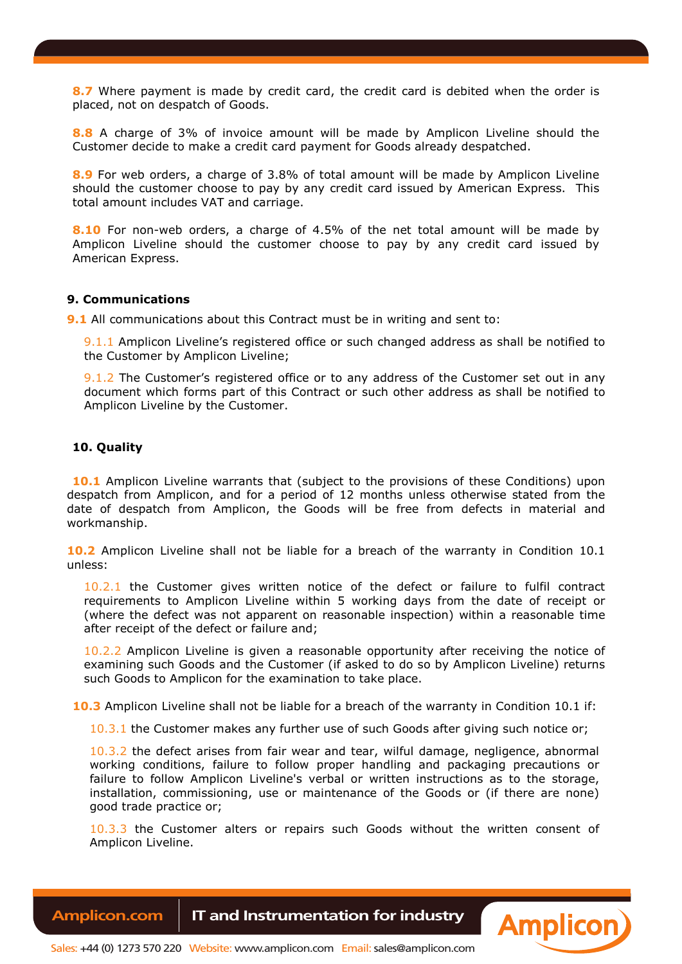**8.7** Where payment is made by credit card, the credit card is debited when the order is placed, not on despatch of Goods.

**8.8** A charge of 3% of invoice amount will be made by Amplicon Liveline should the Customer decide to make a credit card payment for Goods already despatched.

**8.9** For web orders, a charge of 3.8% of total amount will be made by Amplicon Liveline should the customer choose to pay by any credit card issued by American Express. This total amount includes VAT and carriage.

**8.10** For non-web orders, a charge of 4.5% of the net total amount will be made by Amplicon Liveline should the customer choose to pay by any credit card issued by American Express.

# **9. Communications**

**9.1** All communications about this Contract must be in writing and sent to:

9.1.1 Amplicon Liveline's registered office or such changed address as shall be notified to the Customer by Amplicon Liveline;

9.1.2 The Customer's registered office or to any address of the Customer set out in any document which forms part of this Contract or such other address as shall be notified to Amplicon Liveline by the Customer.

## **10. Quality**

**10.1** Amplicon Liveline warrants that (subject to the provisions of these Conditions) upon despatch from Amplicon, and for a period of 12 months unless otherwise stated from the date of despatch from Amplicon, the Goods will be free from defects in material and workmanship.

**10.2** Amplicon Liveline shall not be liable for a breach of the warranty in Condition 10.1 unless:

10.2.1 the Customer gives written notice of the defect or failure to fulfil contract requirements to Amplicon Liveline within 5 working days from the date of receipt or (where the defect was not apparent on reasonable inspection) within a reasonable time after receipt of the defect or failure and;

10.2.2 Amplicon Liveline is given a reasonable opportunity after receiving the notice of examining such Goods and the Customer (if asked to do so by Amplicon Liveline) returns such Goods to Amplicon for the examination to take place.

10.3 Amplicon Liveline shall not be liable for a breach of the warranty in Condition 10.1 if:

10.3.1 the Customer makes any further use of such Goods after giving such notice or;

10.3.2 the defect arises from fair wear and tear, wilful damage, negligence, abnormal working conditions, failure to follow proper handling and packaging precautions or failure to follow Amplicon Liveline's verbal or written instructions as to the storage, installation, commissioning, use or maintenance of the Goods or (if there are none) good trade practice or;

10.3.3 the Customer alters or repairs such Goods without the written consent of Amplicon Liveline.

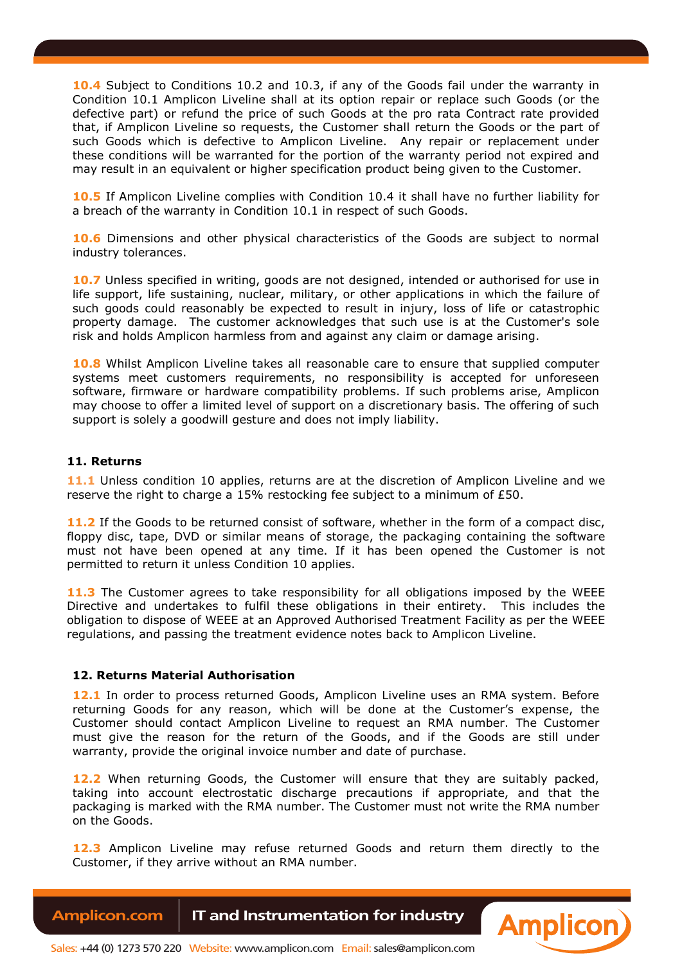**10.4** Subject to Conditions 10.2 and 10.3, if any of the Goods fail under the warranty in Condition 10.1 Amplicon Liveline shall at its option repair or replace such Goods (or the defective part) or refund the price of such Goods at the pro rata Contract rate provided that, if Amplicon Liveline so requests, the Customer shall return the Goods or the part of such Goods which is defective to Amplicon Liveline. Any repair or replacement under these conditions will be warranted for the portion of the warranty period not expired and may result in an equivalent or higher specification product being given to the Customer.

**10.5** If Amplicon Liveline complies with Condition 10.4 it shall have no further liability for a breach of the warranty in Condition 10.1 in respect of such Goods.

**10.6** Dimensions and other physical characteristics of the Goods are subject to normal industry tolerances.

**10.7** Unless specified in writing, goods are not designed, intended or authorised for use in life support, life sustaining, nuclear, military, or other applications in which the failure of such goods could reasonably be expected to result in injury, loss of life or catastrophic property damage. The customer acknowledges that such use is at the Customer's sole risk and holds Amplicon harmless from and against any claim or damage arising.

**10.8** Whilst Amplicon Liveline takes all reasonable care to ensure that supplied computer systems meet customers requirements, no responsibility is accepted for unforeseen software, firmware or hardware compatibility problems. If such problems arise, Amplicon may choose to offer a limited level of support on a discretionary basis. The offering of such support is solely a goodwill gesture and does not imply liability.

# **11. Returns**

**11.1** Unless condition 10 applies, returns are at the discretion of Amplicon Liveline and we reserve the right to charge a 15% restocking fee subject to a minimum of £50.

**11.2** If the Goods to be returned consist of software, whether in the form of a compact disc, floppy disc, tape, DVD or similar means of storage, the packaging containing the software must not have been opened at any time. If it has been opened the Customer is not permitted to return it unless Condition 10 applies.

11.3 The Customer agrees to take responsibility for all obligations imposed by the WEEE Directive and undertakes to fulfil these obligations in their entirety. This includes the obligation to dispose of WEEE at an Approved Authorised Treatment Facility as per the WEEE regulations, and passing the treatment evidence notes back to Amplicon Liveline.

# **12. Returns Material Authorisation**

12.1 In order to process returned Goods, Amplicon Liveline uses an RMA system. Before returning Goods for any reason, which will be done at the Customer's expense, the Customer should contact Amplicon Liveline to request an RMA number. The Customer must give the reason for the return of the Goods, and if the Goods are still under warranty, provide the original invoice number and date of purchase.

**12.2** When returning Goods, the Customer will ensure that they are suitably packed, taking into account electrostatic discharge precautions if appropriate, and that the packaging is marked with the RMA number. The Customer must not write the RMA number on the Goods.

**12.3** Amplicon Liveline may refuse returned Goods and return them directly to the Customer, if they arrive without an RMA number.

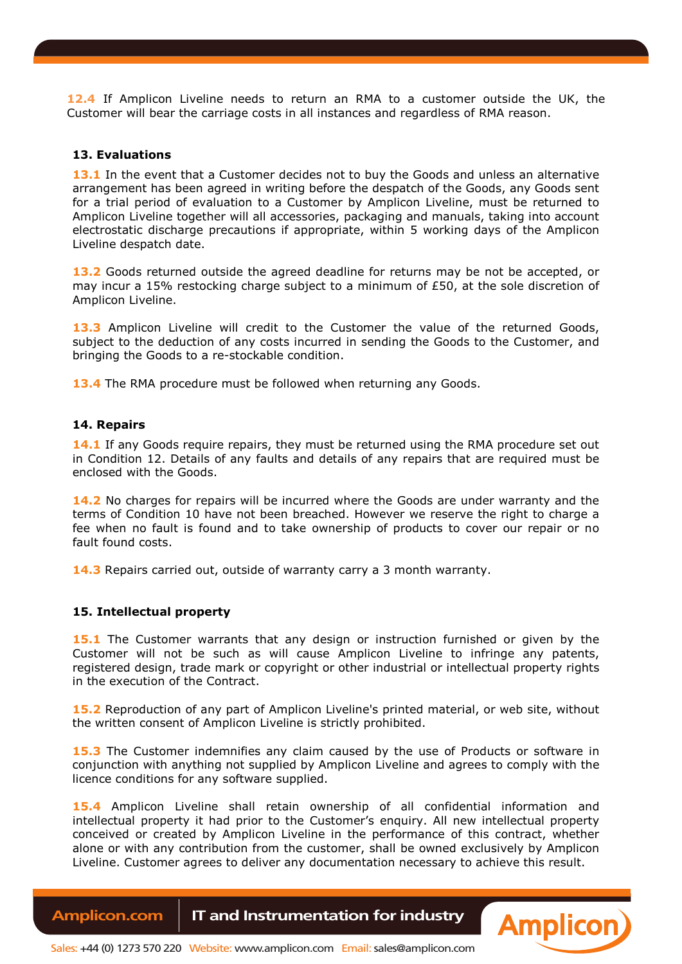**12.4** If Amplicon Liveline needs to return an RMA to a customer outside the UK, the Customer will bear the carriage costs in all instances and regardless of RMA reason.

#### **13. Evaluations**

**13.1** In the event that a Customer decides not to buy the Goods and unless an alternative arrangement has been agreed in writing before the despatch of the Goods, any Goods sent for a trial period of evaluation to a Customer by Amplicon Liveline, must be returned to Amplicon Liveline together will all accessories, packaging and manuals, taking into account electrostatic discharge precautions if appropriate, within 5 working days of the Amplicon Liveline despatch date.

**13.2** Goods returned outside the agreed deadline for returns may be not be accepted, or may incur a 15% restocking charge subject to a minimum of £50, at the sole discretion of Amplicon Liveline.

**13.3** Amplicon Liveline will credit to the Customer the value of the returned Goods, subject to the deduction of any costs incurred in sending the Goods to the Customer, and bringing the Goods to a re-stockable condition.

13.4 The RMA procedure must be followed when returning any Goods.

#### **14. Repairs**

14.1 If any Goods require repairs, they must be returned using the RMA procedure set out in Condition 12. Details of any faults and details of any repairs that are required must be enclosed with the Goods.

**14.2** No charges for repairs will be incurred where the Goods are under warranty and the terms of Condition 10 have not been breached. However we reserve the right to charge a fee when no fault is found and to take ownership of products to cover our repair or no fault found costs.

**14.3** Repairs carried out, outside of warranty carry a 3 month warranty.

### **15. Intellectual property**

**15.1** The Customer warrants that any design or instruction furnished or given by the Customer will not be such as will cause Amplicon Liveline to infringe any patents, registered design, trade mark or copyright or other industrial or intellectual property rights in the execution of the Contract.

**15.2** Reproduction of any part of Amplicon Liveline's printed material, or web site, without the written consent of Amplicon Liveline is strictly prohibited.

**15.3** The Customer indemnifies any claim caused by the use of Products or software in conjunction with anything not supplied by Amplicon Liveline and agrees to comply with the licence conditions for any software supplied.

**15.4** Amplicon Liveline shall retain ownership of all confidential information and intellectual property it had prior to the Customer's enquiry. All new intellectual property conceived or created by Amplicon Liveline in the performance of this contract, whether alone or with any contribution from the customer, shall be owned exclusively by Amplicon Liveline. Customer agrees to deliver any documentation necessary to achieve this result.

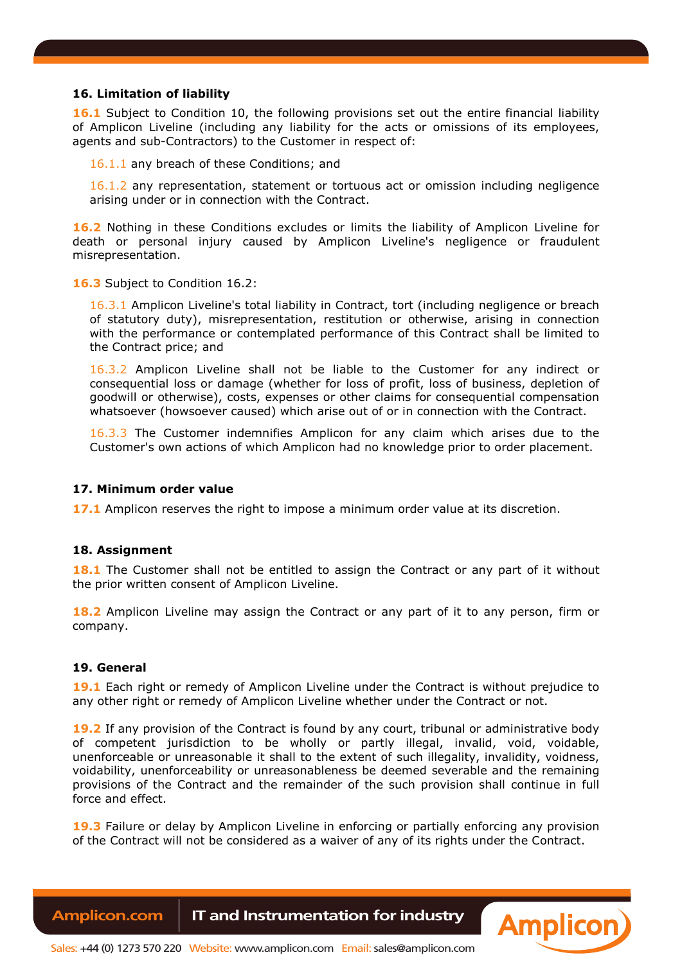# **16. Limitation of liability**

**16.1** Subject to Condition 10, the following provisions set out the entire financial liability of Amplicon Liveline (including any liability for the acts or omissions of its employees, agents and sub-Contractors) to the Customer in respect of:

16.1.1 any breach of these Conditions; and

16.1.2 any representation, statement or tortuous act or omission including negligence arising under or in connection with the Contract.

**16.2** Nothing in these Conditions excludes or limits the liability of Amplicon Liveline for death or personal injury caused by Amplicon Liveline's negligence or fraudulent misrepresentation.

16.3 Subject to Condition 16.2:

16.3.1 Amplicon Liveline's total liability in Contract, tort (including negligence or breach of statutory duty), misrepresentation, restitution or otherwise, arising in connection with the performance or contemplated performance of this Contract shall be limited to the Contract price; and

16.3.2 Amplicon Liveline shall not be liable to the Customer for any indirect or consequential loss or damage (whether for loss of profit, loss of business, depletion of goodwill or otherwise), costs, expenses or other claims for consequential compensation whatsoever (howsoever caused) which arise out of or in connection with the Contract.

16.3.3 The Customer indemnifies Amplicon for any claim which arises due to the Customer's own actions of which Amplicon had no knowledge prior to order placement.

#### **17. Minimum order value**

**17.1** Amplicon reserves the right to impose a minimum order value at its discretion.

#### **18. Assignment**

18.1 The Customer shall not be entitled to assign the Contract or any part of it without the prior written consent of Amplicon Liveline.

**18.2** Amplicon Liveline may assign the Contract or any part of it to any person, firm or company.

#### **19. General**

**19.1** Each right or remedy of Amplicon Liveline under the Contract is without prejudice to any other right or remedy of Amplicon Liveline whether under the Contract or not.

**19.2** If any provision of the Contract is found by any court, tribunal or administrative body of competent jurisdiction to be wholly or partly illegal, invalid, void, voidable, unenforceable or unreasonable it shall to the extent of such illegality, invalidity, voidness, voidability, unenforceability or unreasonableness be deemed severable and the remaining provisions of the Contract and the remainder of the such provision shall continue in full force and effect.

**19.3** Failure or delay by Amplicon Liveline in enforcing or partially enforcing any provision of the Contract will not be considered as a waiver of any of its rights under the Contract.

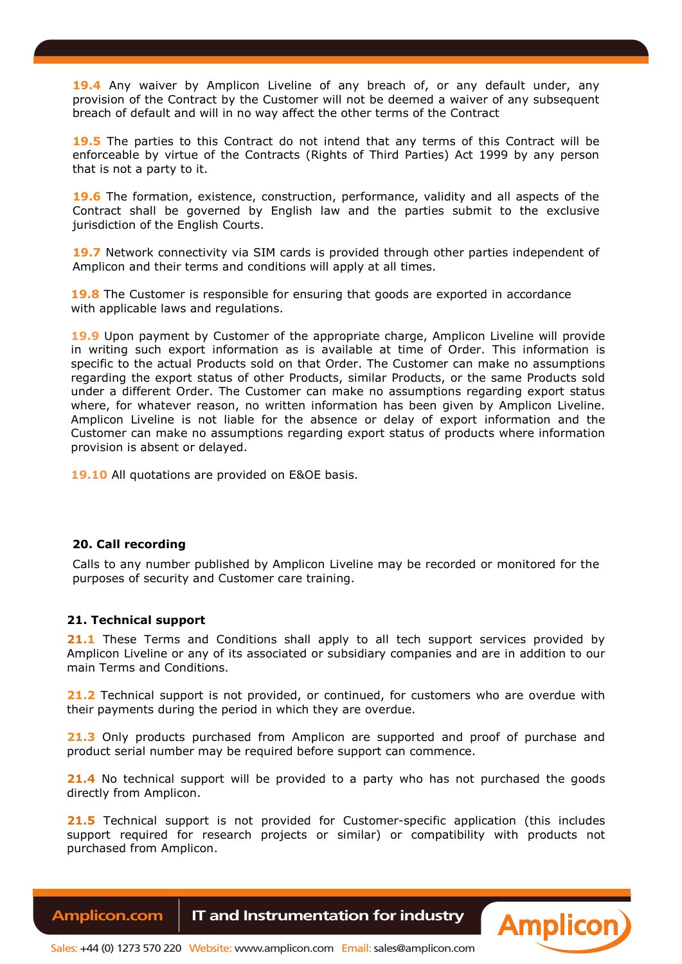**19.4** Any waiver by Amplicon Liveline of any breach of, or any default under, any provision of the Contract by the Customer will not be deemed a waiver of any subsequent breach of default and will in no way affect the other terms of the Contract

**19.5** The parties to this Contract do not intend that any terms of this Contract will be enforceable by virtue of the Contracts (Rights of Third Parties) Act 1999 by any person that is not a party to it.

**19.6** The formation, existence, construction, performance, validity and all aspects of the Contract shall be governed by English law and the parties submit to the exclusive jurisdiction of the English Courts.

19.7 Network connectivity via SIM cards is provided through other parties independent of Amplicon and their terms and conditions will apply at all times.

**19.8** The Customer is responsible for ensuring that goods are exported in accordance with applicable laws and regulations.

**19.9** Upon payment by Customer of the appropriate charge, Amplicon Liveline will provide in writing such export information as is available at time of Order. This information is specific to the actual Products sold on that Order. The Customer can make no assumptions regarding the export status of other Products, similar Products, or the same Products sold under a different Order. The Customer can make no assumptions regarding export status where, for whatever reason, no written information has been given by Amplicon Liveline. Amplicon Liveline is not liable for the absence or delay of export information and the Customer can make no assumptions regarding export status of products where information provision is absent or delayed.

**19.10** All quotations are provided on E&OE basis.

# **20. Call recording**

Calls to any number published by Amplicon Liveline may be recorded or monitored for the purposes of security and Customer care training.

#### **21. Technical support**

**21.1** These Terms and Conditions shall apply to all tech support services provided by Amplicon Liveline or any of its associated or subsidiary companies and are in addition to our main Terms and Conditions.

**21.2** Technical support is not provided, or continued, for customers who are overdue with their payments during the period in which they are overdue.

**21.3** Only products purchased from Amplicon are supported and proof of purchase and product serial number may be required before support can commence.

**21.4** No technical support will be provided to a party who has not purchased the goods directly from Amplicon.

**21.5** Technical support is not provided for Customer-specific application (this includes support required for research projects or similar) or compatibility with products not purchased from Amplicon.

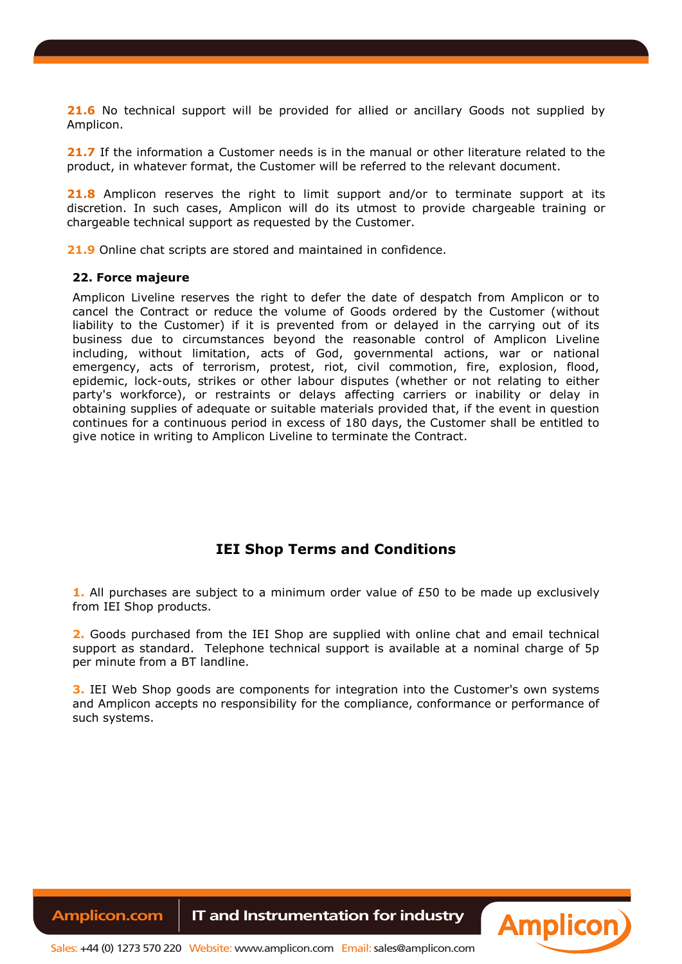**21.6** No technical support will be provided for allied or ancillary Goods not supplied by Amplicon.

**21.7** If the information a Customer needs is in the manual or other literature related to the product, in whatever format, the Customer will be referred to the relevant document.

21.8 Amplicon reserves the right to limit support and/or to terminate support at its discretion. In such cases, Amplicon will do its utmost to provide chargeable training or chargeable technical support as requested by the Customer.

**21.9** Online chat scripts are stored and maintained in confidence.

#### **22. Force majeure**

Amplicon Liveline reserves the right to defer the date of despatch from Amplicon or to cancel the Contract or reduce the volume of Goods ordered by the Customer (without liability to the Customer) if it is prevented from or delayed in the carrying out of its business due to circumstances beyond the reasonable control of Amplicon Liveline including, without limitation, acts of God, governmental actions, war or national emergency, acts of terrorism, protest, riot, civil commotion, fire, explosion, flood, epidemic, lock-outs, strikes or other labour disputes (whether or not relating to either party's workforce), or restraints or delays affecting carriers or inability or delay in obtaining supplies of adequate or suitable materials provided that, if the event in question continues for a continuous period in excess of 180 days, the Customer shall be entitled to give notice in writing to Amplicon Liveline to terminate the Contract.

# **IEI Shop Terms and Conditions**

**1.** All purchases are subject to a minimum order value of £50 to be made up exclusively from IEI Shop products.

**2.** Goods purchased from the IEI Shop are supplied with online chat and email technical support as standard. Telephone technical support is available at a nominal charge of 5p per minute from a BT landline.

**3.** IEI Web Shop goods are components for integration into the Customer's own systems and Amplicon accepts no responsibility for the compliance, conformance or performance of such systems.

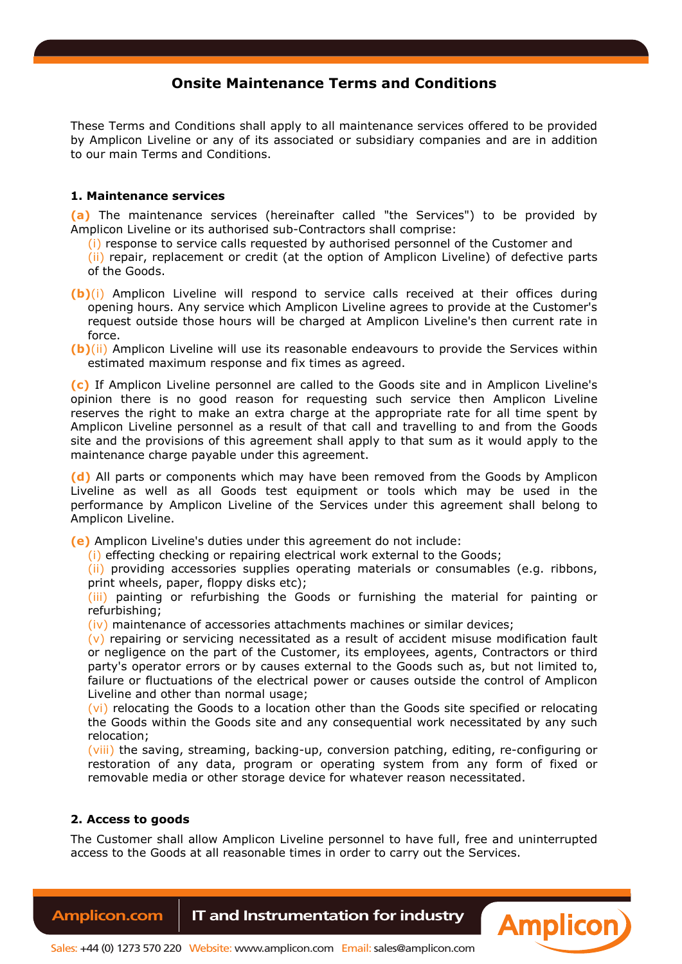# **Onsite Maintenance Terms and Conditions**

These Terms and Conditions shall apply to all maintenance services offered to be provided by Amplicon Liveline or any of its associated or subsidiary companies and are in addition to our main Terms and Conditions.

# **1. Maintenance services**

**(a)** The maintenance services (hereinafter called "the Services") to be provided by Amplicon Liveline or its authorised sub-Contractors shall comprise:

(i) response to service calls requested by authorised personnel of the Customer and

(ii) repair, replacement or credit (at the option of Amplicon Liveline) of defective parts of the Goods.

- **(b)**(i) Amplicon Liveline will respond to service calls received at their offices during opening hours. Any service which Amplicon Liveline agrees to provide at the Customer's request outside those hours will be charged at Amplicon Liveline's then current rate in force.
- **(b)**(ii) Amplicon Liveline will use its reasonable endeavours to provide the Services within estimated maximum response and fix times as agreed.

**(c)** If Amplicon Liveline personnel are called to the Goods site and in Amplicon Liveline's opinion there is no good reason for requesting such service then Amplicon Liveline reserves the right to make an extra charge at the appropriate rate for all time spent by Amplicon Liveline personnel as a result of that call and travelling to and from the Goods site and the provisions of this agreement shall apply to that sum as it would apply to the maintenance charge payable under this agreement.

**(d)** All parts or components which may have been removed from the Goods by Amplicon Liveline as well as all Goods test equipment or tools which may be used in the performance by Amplicon Liveline of the Services under this agreement shall belong to Amplicon Liveline.

**(e)** Amplicon Liveline's duties under this agreement do not include:

(i) effecting checking or repairing electrical work external to the Goods;

(ii) providing accessories supplies operating materials or consumables (e.g. ribbons, print wheels, paper, floppy disks etc);

(iii) painting or refurbishing the Goods or furnishing the material for painting or refurbishing;

(iv) maintenance of accessories attachments machines or similar devices;

 $(v)$  repairing or servicing necessitated as a result of accident misuse modification fault or negligence on the part of the Customer, its employees, agents, Contractors or third party's operator errors or by causes external to the Goods such as, but not limited to, failure or fluctuations of the electrical power or causes outside the control of Amplicon Liveline and other than normal usage;

(vi) relocating the Goods to a location other than the Goods site specified or relocating the Goods within the Goods site and any consequential work necessitated by any such relocation;

(viii) the saving, streaming, backing-up, conversion patching, editing, re-configuring or restoration of any data, program or operating system from any form of fixed or removable media or other storage device for whatever reason necessitated.

# **2. Access to goods**

The Customer shall allow Amplicon Liveline personnel to have full, free and uninterrupted access to the Goods at all reasonable times in order to carry out the Services.

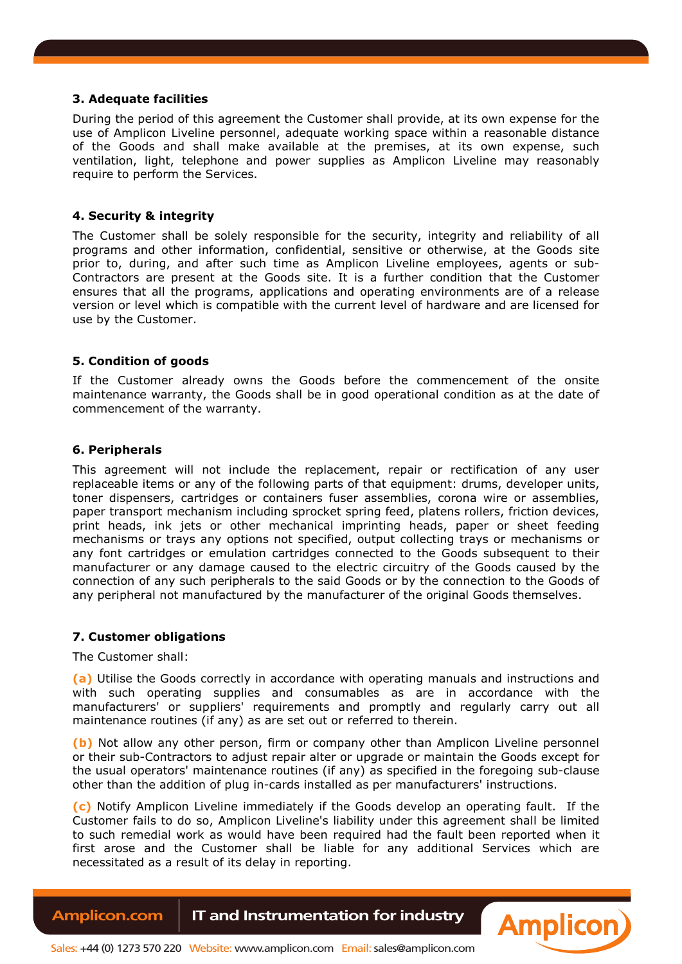# **3. Adequate facilities**

During the period of this agreement the Customer shall provide, at its own expense for the use of Amplicon Liveline personnel, adequate working space within a reasonable distance of the Goods and shall make available at the premises, at its own expense, such ventilation, light, telephone and power supplies as Amplicon Liveline may reasonably require to perform the Services.

### **4. Security & integrity**

The Customer shall be solely responsible for the security, integrity and reliability of all programs and other information, confidential, sensitive or otherwise, at the Goods site prior to, during, and after such time as Amplicon Liveline employees, agents or sub-Contractors are present at the Goods site. It is a further condition that the Customer ensures that all the programs, applications and operating environments are of a release version or level which is compatible with the current level of hardware and are licensed for use by the Customer.

#### **5. Condition of goods**

If the Customer already owns the Goods before the commencement of the onsite maintenance warranty, the Goods shall be in good operational condition as at the date of commencement of the warranty.

# **6. Peripherals**

This agreement will not include the replacement, repair or rectification of any user replaceable items or any of the following parts of that equipment: drums, developer units, toner dispensers, cartridges or containers fuser assemblies, corona wire or assemblies, paper transport mechanism including sprocket spring feed, platens rollers, friction devices, print heads, ink jets or other mechanical imprinting heads, paper or sheet feeding mechanisms or trays any options not specified, output collecting trays or mechanisms or any font cartridges or emulation cartridges connected to the Goods subsequent to their manufacturer or any damage caused to the electric circuitry of the Goods caused by the connection of any such peripherals to the said Goods or by the connection to the Goods of any peripheral not manufactured by the manufacturer of the original Goods themselves.

#### **7. Customer obligations**

The Customer shall:

**(a)** Utilise the Goods correctly in accordance with operating manuals and instructions and with such operating supplies and consumables as are in accordance with the manufacturers' or suppliers' requirements and promptly and regularly carry out all maintenance routines (if any) as are set out or referred to therein.

**(b)** Not allow any other person, firm or company other than Amplicon Liveline personnel or their sub-Contractors to adjust repair alter or upgrade or maintain the Goods except for the usual operators' maintenance routines (if any) as specified in the foregoing sub-clause other than the addition of plug in-cards installed as per manufacturers' instructions.

**(c)** Notify Amplicon Liveline immediately if the Goods develop an operating fault. If the Customer fails to do so, Amplicon Liveline's liability under this agreement shall be limited to such remedial work as would have been required had the fault been reported when it first arose and the Customer shall be liable for any additional Services which are necessitated as a result of its delay in reporting.

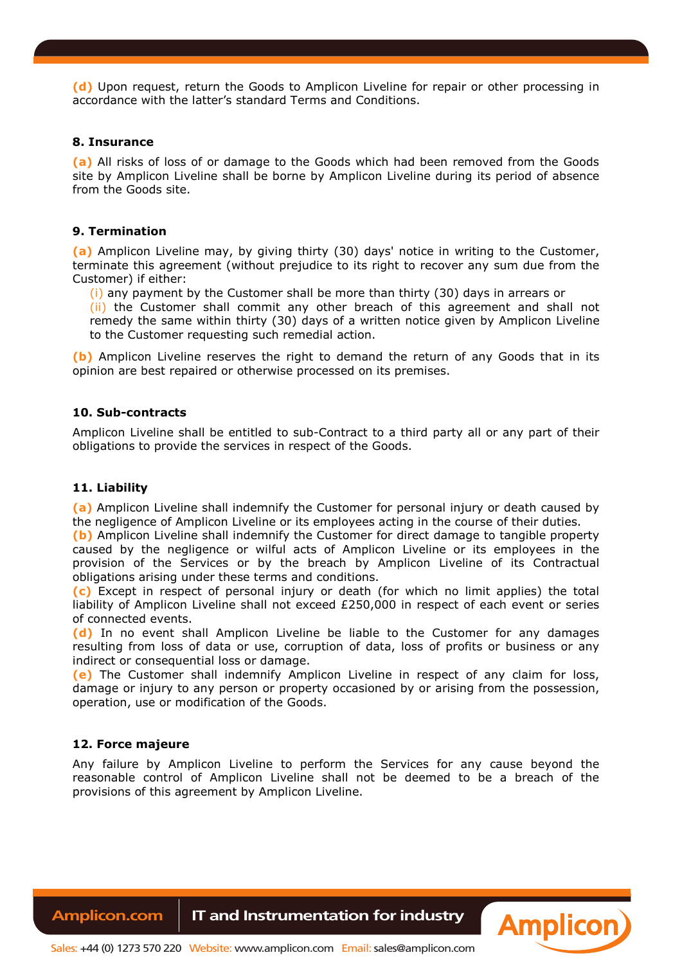**(d)** Upon request, return the Goods to Amplicon Liveline for repair or other processing in accordance with the latter's standard Terms and Conditions.

### **8. Insurance**

**(a)** All risks of loss of or damage to the Goods which had been removed from the Goods site by Amplicon Liveline shall be borne by Amplicon Liveline during its period of absence from the Goods site.

# **9. Termination**

**(a)** Amplicon Liveline may, by giving thirty (30) days' notice in writing to the Customer, terminate this agreement (without prejudice to its right to recover any sum due from the Customer) if either:

(i) any payment by the Customer shall be more than thirty (30) days in arrears or

(ii) the Customer shall commit any other breach of this agreement and shall not remedy the same within thirty (30) days of a written notice given by Amplicon Liveline to the Customer requesting such remedial action.

**(b)** Amplicon Liveline reserves the right to demand the return of any Goods that in its opinion are best repaired or otherwise processed on its premises.

# **10. Sub-contracts**

Amplicon Liveline shall be entitled to sub-Contract to a third party all or any part of their obligations to provide the services in respect of the Goods.

# **11. Liability**

**(a)** Amplicon Liveline shall indemnify the Customer for personal injury or death caused by the negligence of Amplicon Liveline or its employees acting in the course of their duties.

**(b)** Amplicon Liveline shall indemnify the Customer for direct damage to tangible property caused by the negligence or wilful acts of Amplicon Liveline or its employees in the provision of the Services or by the breach by Amplicon Liveline of its Contractual obligations arising under these terms and conditions.

**(c)** Except in respect of personal injury or death (for which no limit applies) the total liability of Amplicon Liveline shall not exceed £250,000 in respect of each event or series of connected events.

**(d)** In no event shall Amplicon Liveline be liable to the Customer for any damages resulting from loss of data or use, corruption of data, loss of profits or business or any indirect or consequential loss or damage.

**(e)** The Customer shall indemnify Amplicon Liveline in respect of any claim for loss, damage or injury to any person or property occasioned by or arising from the possession, operation, use or modification of the Goods.

# **12. Force majeure**

Any failure by Amplicon Liveline to perform the Services for any cause beyond the reasonable control of Amplicon Liveline shall not be deemed to be a breach of the provisions of this agreement by Amplicon Liveline.